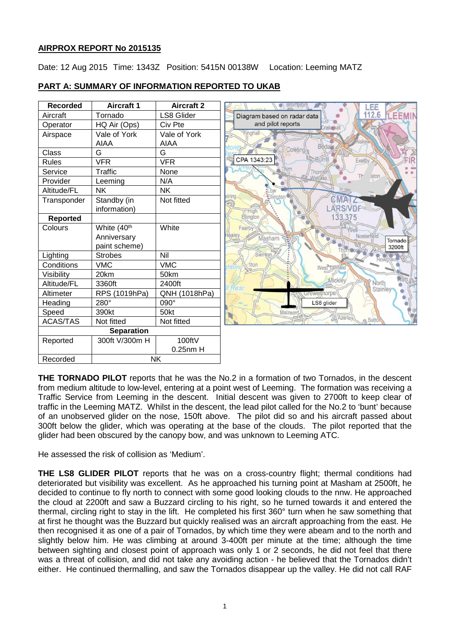# **AIRPROX REPORT No 2015135**

Date: 12 Aug 2015 Time: 1343Z Position: 5415N 00138W Location: Leeming MATZ

| <b>Recorded</b> | <b>Aircraft 1</b>       | <b>Aircraft 2</b> | <b>Brompton</b>             |                            |
|-----------------|-------------------------|-------------------|-----------------------------|----------------------------|
| Aircraft        | Tornado                 | <b>LS8 Glider</b> | Diagram based on radar data |                            |
| Operator        | HQ Air (Ops)            | Civ Pte           | and pilot reports           |                            |
| Airspace        | Vale of York            | Vale of York      | Finghall                    |                            |
|                 | <b>AIAA</b>             | AIAA              |                             |                            |
| Class           | G                       | G                 | Cowling                     |                            |
| <b>Rules</b>    | <b>VFR</b>              | <b>VFR</b>        | CPA 1343:23                 | Burril                     |
| Service         | Traffic                 | None              |                             | Thornte                    |
| Provider        | Leeming                 | N/A               |                             | <b>Watlass</b>             |
| Altitude/FL     | <b>NK</b>               | <b>NK</b>         |                             |                            |
| Transponder     | Standby (in             | Not fitted        | string<br>Ellington         |                            |
|                 | information)            |                   |                             |                            |
| <b>Reported</b> |                         |                   | Ellington                   |                            |
| Colours         | White (40 <sup>th</sup> | White             | Fearby                      |                            |
|                 | Anniversary             |                   | ealey<br>Masham             |                            |
|                 | paint scheme)           |                   |                             |                            |
| Lighting        | <b>Strobes</b>          | Nil               | Swinton                     |                            |
| Conditions      | <b>VMC</b>              | <b>VMC</b>        | <b>flton</b><br>hton        | <b>West Tanfield</b>       |
| Visibility      | 20km                    | 50km              |                             |                            |
| Altitude/FL     | 3360ft                  | 2400ft            | Resr                        |                            |
| Altimeter       | RPS (1019hPa)           | QNH (1018hPa)     |                             | <i><b>Srewelthorpe</b></i> |
| Heading         | 280°                    | 090°              |                             | LS8 glider                 |
| Speed           | 390kt                   | 50kt              | Malzeard.                   |                            |
| <b>ACAS/TAS</b> | Not fitted              | Not fitted        |                             |                            |
|                 | <b>Separation</b>       |                   |                             |                            |
| Reported        | 300ft V/300m H          | 100ftV            |                             |                            |
|                 |                         | $0.25$ nm $H$     |                             |                            |
| Recorded        |                         | <b>NK</b>         |                             |                            |

Tornado 3200ft

# **PART A: SUMMARY OF INFORMATION REPORTED TO UKAB**

**THE TORNADO PILOT** reports that he was the No.2 in a formation of two Tornados, in the descent from medium altitude to low-level, entering at a point west of Leeming. The formation was receiving a Traffic Service from Leeming in the descent. Initial descent was given to 2700ft to keep clear of traffic in the Leeming MATZ. Whilst in the descent, the lead pilot called for the No.2 to 'bunt' because of an unobserved glider on the nose, 150ft above. The pilot did so and his aircraft passed about 300ft below the glider, which was operating at the base of the clouds. The pilot reported that the glider had been obscured by the canopy bow, and was unknown to Leeming ATC.

He assessed the risk of collision as 'Medium'.

**THE LS8 GLIDER PILOT** reports that he was on a cross-country flight; thermal conditions had deteriorated but visibility was excellent. As he approached his turning point at Masham at 2500ft, he decided to continue to fly north to connect with some good looking clouds to the nnw. He approached the cloud at 2200ft and saw a Buzzard circling to his right, so he turned towards it and entered the thermal, circling right to stay in the lift. He completed his first 360° turn when he saw something that at first he thought was the Buzzard but quickly realised was an aircraft approaching from the east. He then recognised it as one of a pair of Tornados, by which time they were abeam and to the north and slightly below him. He was climbing at around 3-400ft per minute at the time; although the time between sighting and closest point of approach was only 1 or 2 seconds, he did not feel that there was a threat of collision, and did not take any avoiding action - he believed that the Tornados didn't either. He continued thermalling, and saw the Tornados disappear up the valley. He did not call RAF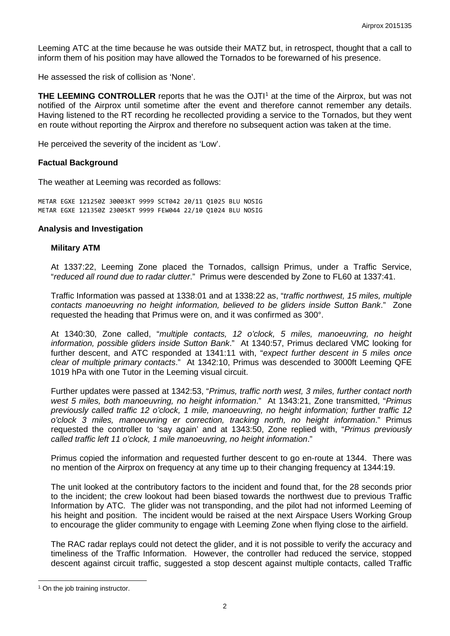Leeming ATC at the time because he was outside their MATZ but, in retrospect, thought that a call to inform them of his position may have allowed the Tornados to be forewarned of his presence.

He assessed the risk of collision as 'None'.

**THE LEEMING CONTROLLER** reports that he was the OJTI<sup>[1](#page-1-0)</sup> at the time of the Airprox, but was not notified of the Airprox until sometime after the event and therefore cannot remember any details. Having listened to the RT recording he recollected providing a service to the Tornados, but they went en route without reporting the Airprox and therefore no subsequent action was taken at the time.

He perceived the severity of the incident as 'Low'.

#### **Factual Background**

The weather at Leeming was recorded as follows:

METAR EGXE 121250Z 30003KT 9999 SCT042 20/11 Q1025 BLU NOSIG METAR EGXE 121350Z 23005KT 9999 FEW044 22/10 Q1024 BLU NOSIG

#### **Analysis and Investigation**

#### **Military ATM**

At 1337:22, Leeming Zone placed the Tornados, callsign Primus, under a Traffic Service, "*reduced all round due to radar clutter*." Primus were descended by Zone to FL60 at 1337:41.

Traffic Information was passed at 1338:01 and at 1338:22 as, "*traffic northwest, 15 miles, multiple contacts manoeuvring no height information, believed to be gliders inside Sutton Bank*." Zone requested the heading that Primus were on, and it was confirmed as 300°.

At 1340:30, Zone called, "*multiple contacts, 12 o'clock, 5 miles, manoeuvring, no height information, possible gliders inside Sutton Bank*." At 1340:57, Primus declared VMC looking for further descent, and ATC responded at 1341:11 with, "*expect further descent in 5 miles once clear of multiple primary contacts*." At 1342:10, Primus was descended to 3000ft Leeming QFE 1019 hPa with one Tutor in the Leeming visual circuit.

Further updates were passed at 1342:53, "*Primus, traffic north west, 3 miles, further contact north west 5 miles, both manoeuvring, no height information*." At 1343:21, Zone transmitted, "*Primus previously called traffic 12 o'clock, 1 mile, manoeuvring, no height information; further traffic 12 o'clock 3 miles, manoeuvring er correction, tracking north, no height information*." Primus requested the controller to 'say again' and at 1343:50, Zone replied with, "*Primus previously called traffic left 11 o'clock, 1 mile manoeuvring, no height information*."

Primus copied the information and requested further descent to go en-route at 1344. There was no mention of the Airprox on frequency at any time up to their changing frequency at 1344:19.

The unit looked at the contributory factors to the incident and found that, for the 28 seconds prior to the incident; the crew lookout had been biased towards the northwest due to previous Traffic Information by ATC. The glider was not transponding, and the pilot had not informed Leeming of his height and position. The incident would be raised at the next Airspace Users Working Group to encourage the glider community to engage with Leeming Zone when flying close to the airfield.

The RAC radar replays could not detect the glider, and it is not possible to verify the accuracy and timeliness of the Traffic Information. However, the controller had reduced the service, stopped descent against circuit traffic, suggested a stop descent against multiple contacts, called Traffic

 $\overline{\phantom{a}}$ 

<span id="page-1-0"></span><sup>&</sup>lt;sup>1</sup> On the job training instructor.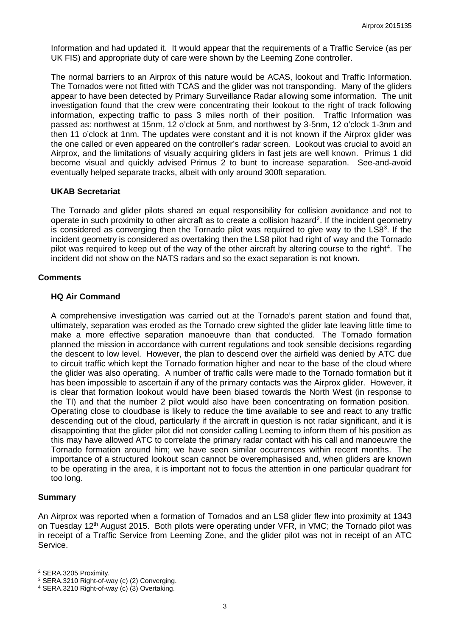Information and had updated it. It would appear that the requirements of a Traffic Service (as per UK FIS) and appropriate duty of care were shown by the Leeming Zone controller.

The normal barriers to an Airprox of this nature would be ACAS, lookout and Traffic Information. The Tornados were not fitted with TCAS and the glider was not transponding. Many of the gliders appear to have been detected by Primary Surveillance Radar allowing some information. The unit investigation found that the crew were concentrating their lookout to the right of track following information, expecting traffic to pass 3 miles north of their position. Traffic Information was passed as: northwest at 15nm, 12 o'clock at 5nm, and northwest by 3-5nm, 12 o'clock 1-3nm and then 11 o'clock at 1nm. The updates were constant and it is not known if the Airprox glider was the one called or even appeared on the controller's radar screen. Lookout was crucial to avoid an Airprox, and the limitations of visually acquiring gliders in fast jets are well known. Primus 1 did become visual and quickly advised Primus 2 to bunt to increase separation. See-and-avoid eventually helped separate tracks, albeit with only around 300ft separation.

### **UKAB Secretariat**

The Tornado and glider pilots shared an equal responsibility for collision avoidance and not to operate in such proximity to other aircraft as to create a collision hazard<sup>[2](#page-2-0)</sup>. If the incident geometry is considered as converging then the Tornado pilot was required to give way to the LS8 $3$ . If the incident geometry is considered as overtaking then the LS8 pilot had right of way and the Tornado pilot was required to keep out of the way of the other aircraft by altering course to the right<sup>[4](#page-2-2)</sup>. The incident did not show on the NATS radars and so the exact separation is not known.

### **Comments**

### **HQ Air Command**

A comprehensive investigation was carried out at the Tornado's parent station and found that, ultimately, separation was eroded as the Tornado crew sighted the glider late leaving little time to make a more effective separation manoeuvre than that conducted. The Tornado formation planned the mission in accordance with current regulations and took sensible decisions regarding the descent to low level. However, the plan to descend over the airfield was denied by ATC due to circuit traffic which kept the Tornado formation higher and near to the base of the cloud where the glider was also operating. A number of traffic calls were made to the Tornado formation but it has been impossible to ascertain if any of the primary contacts was the Airprox glider. However, it is clear that formation lookout would have been biased towards the North West (in response to the TI) and that the number 2 pilot would also have been concentrating on formation position. Operating close to cloudbase is likely to reduce the time available to see and react to any traffic descending out of the cloud, particularly if the aircraft in question is not radar significant, and it is disappointing that the glider pilot did not consider calling Leeming to inform them of his position as this may have allowed ATC to correlate the primary radar contact with his call and manoeuvre the Tornado formation around him; we have seen similar occurrences within recent months. The importance of a structured lookout scan cannot be overemphasised and, when gliders are known to be operating in the area, it is important not to focus the attention in one particular quadrant for too long.

# **Summary**

 $\overline{\phantom{a}}$ 

An Airprox was reported when a formation of Tornados and an LS8 glider flew into proximity at 1343 on Tuesday 12<sup>th</sup> August 2015. Both pilots were operating under VFR, in VMC; the Tornado pilot was in receipt of a Traffic Service from Leeming Zone, and the glider pilot was not in receipt of an ATC Service.

<span id="page-2-0"></span><sup>2</sup> SERA.3205 Proximity.

<span id="page-2-1"></span><sup>3</sup> SERA.3210 Right-of-way (c) (2) Converging.

<span id="page-2-2"></span><sup>4</sup> SERA.3210 Right-of-way (c) (3) Overtaking.